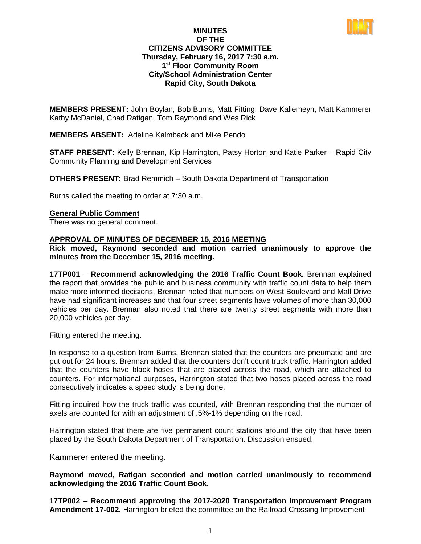

#### **MINUTES OF THE CITIZENS ADVISORY COMMITTEE Thursday, February 16, 2017 7:30 a.m. 1st Floor Community Room City/School Administration Center Rapid City, South Dakota**

**MEMBERS PRESENT:** John Boylan, Bob Burns, Matt Fitting, Dave Kallemeyn, Matt Kammerer Kathy McDaniel, Chad Ratigan, Tom Raymond and Wes Rick

**MEMBERS ABSENT:** Adeline Kalmback and Mike Pendo

**STAFF PRESENT:** Kelly Brennan, Kip Harrington, Patsy Horton and Katie Parker – Rapid City Community Planning and Development Services

**OTHERS PRESENT:** Brad Remmich – South Dakota Department of Transportation

Burns called the meeting to order at 7:30 a.m.

#### **General Public Comment**

There was no general comment.

# **APPROVAL OF MINUTES OF DECEMBER 15, 2016 MEETING**

**Rick moved, Raymond seconded and motion carried unanimously to approve the minutes from the December 15, 2016 meeting.**

**17TP001** – **Recommend acknowledging the 2016 Traffic Count Book.** Brennan explained the report that provides the public and business community with traffic count data to help them make more informed decisions. Brennan noted that numbers on West Boulevard and Mall Drive have had significant increases and that four street segments have volumes of more than 30,000 vehicles per day. Brennan also noted that there are twenty street segments with more than 20,000 vehicles per day.

Fitting entered the meeting.

In response to a question from Burns, Brennan stated that the counters are pneumatic and are put out for 24 hours. Brennan added that the counters don't count truck traffic. Harrington added that the counters have black hoses that are placed across the road, which are attached to counters. For informational purposes, Harrington stated that two hoses placed across the road consecutively indicates a speed study is being done.

Fitting inquired how the truck traffic was counted, with Brennan responding that the number of axels are counted for with an adjustment of .5%-1% depending on the road.

Harrington stated that there are five permanent count stations around the city that have been placed by the South Dakota Department of Transportation. Discussion ensued.

Kammerer entered the meeting.

**Raymond moved, Ratigan seconded and motion carried unanimously to recommend acknowledging the 2016 Traffic Count Book.**

**17TP002** – **Recommend approving the 2017-2020 Transportation Improvement Program Amendment 17-002.** Harrington briefed the committee on the Railroad Crossing Improvement